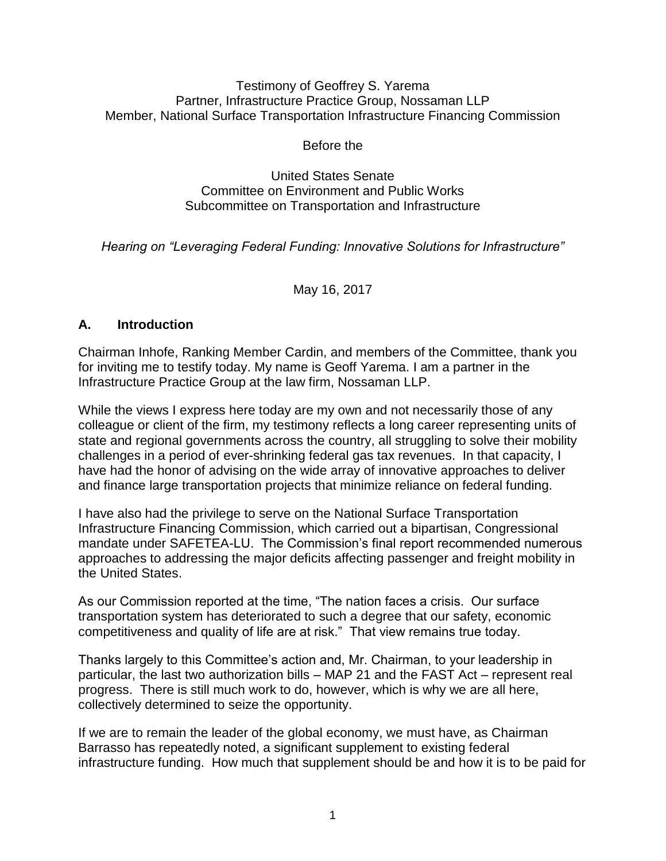#### Testimony of Geoffrey S. Yarema Partner, Infrastructure Practice Group, Nossaman LLP Member, National Surface Transportation Infrastructure Financing Commission

Before the

#### United States Senate Committee on Environment and Public Works Subcommittee on Transportation and Infrastructure

*Hearing on "Leveraging Federal Funding: Innovative Solutions for Infrastructure"*

May 16, 2017

### **A. Introduction**

Chairman Inhofe, Ranking Member Cardin, and members of the Committee, thank you for inviting me to testify today. My name is Geoff Yarema. I am a partner in the Infrastructure Practice Group at the law firm, Nossaman LLP.

While the views I express here today are my own and not necessarily those of any colleague or client of the firm, my testimony reflects a long career representing units of state and regional governments across the country, all struggling to solve their mobility challenges in a period of ever-shrinking federal gas tax revenues. In that capacity, I have had the honor of advising on the wide array of innovative approaches to deliver and finance large transportation projects that minimize reliance on federal funding.

I have also had the privilege to serve on the National Surface Transportation Infrastructure Financing Commission, which carried out a bipartisan, Congressional mandate under SAFETEA-LU. The Commission's final report recommended numerous approaches to addressing the major deficits affecting passenger and freight mobility in the United States.

As our Commission reported at the time, "The nation faces a crisis. Our surface transportation system has deteriorated to such a degree that our safety, economic competitiveness and quality of life are at risk." That view remains true today.

Thanks largely to this Committee's action and, Mr. Chairman, to your leadership in particular, the last two authorization bills – MAP 21 and the FAST Act – represent real progress. There is still much work to do, however, which is why we are all here, collectively determined to seize the opportunity.

If we are to remain the leader of the global economy, we must have, as Chairman Barrasso has repeatedly noted, a significant supplement to existing federal infrastructure funding. How much that supplement should be and how it is to be paid for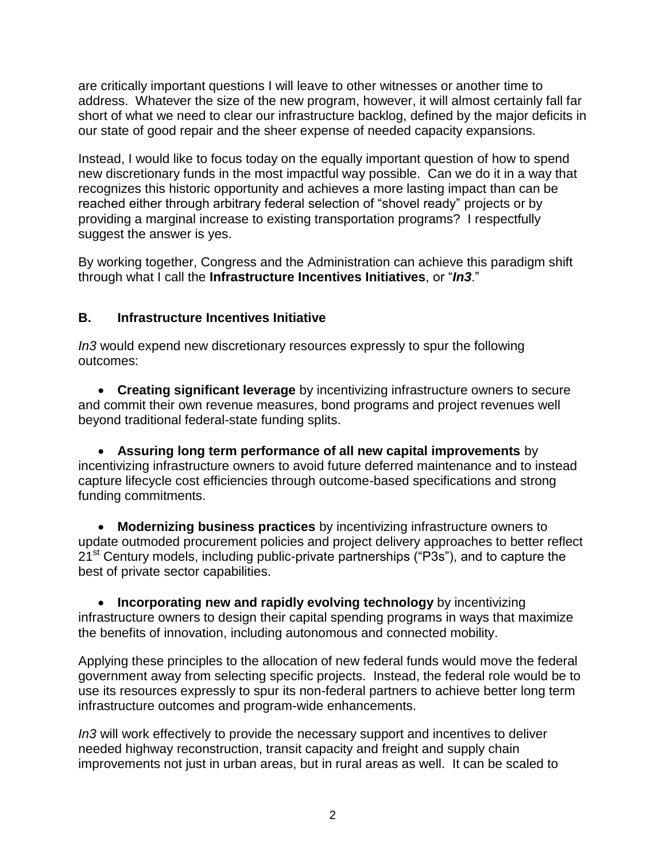are critically important questions I will leave to other witnesses or another time to address. Whatever the size of the new program, however, it will almost certainly fall far short of what we need to clear our infrastructure backlog, defined by the major deficits in our state of good repair and the sheer expense of needed capacity expansions.

Instead, I would like to focus today on the equally important question of how to spend new discretionary funds in the most impactful way possible. Can we do it in a way that recognizes this historic opportunity and achieves a more lasting impact than can be reached either through arbitrary federal selection of "shovel ready" projects or by providing a marginal increase to existing transportation programs? I respectfully suggest the answer is yes.

By working together, Congress and the Administration can achieve this paradigm shift through what I call the **Infrastructure Incentives Initiatives**, or "*In3*."

## **B. Infrastructure Incentives Initiative**

*In3* would expend new discretionary resources expressly to spur the following outcomes:

 **Creating significant leverage** by incentivizing infrastructure owners to secure and commit their own revenue measures, bond programs and project revenues well beyond traditional federal-state funding splits.

 **Assuring long term performance of all new capital improvements** by incentivizing infrastructure owners to avoid future deferred maintenance and to instead capture lifecycle cost efficiencies through outcome-based specifications and strong funding commitments.

 **Modernizing business practices** by incentivizing infrastructure owners to update outmoded procurement policies and project delivery approaches to better reflect 21<sup>st</sup> Century models, including public-private partnerships ("P3s"), and to capture the best of private sector capabilities.

 **Incorporating new and rapidly evolving technology** by incentivizing infrastructure owners to design their capital spending programs in ways that maximize the benefits of innovation, including autonomous and connected mobility.

Applying these principles to the allocation of new federal funds would move the federal government away from selecting specific projects. Instead, the federal role would be to use its resources expressly to spur its non-federal partners to achieve better long term infrastructure outcomes and program-wide enhancements.

*In3* will work effectively to provide the necessary support and incentives to deliver needed highway reconstruction, transit capacity and freight and supply chain improvements not just in urban areas, but in rural areas as well. It can be scaled to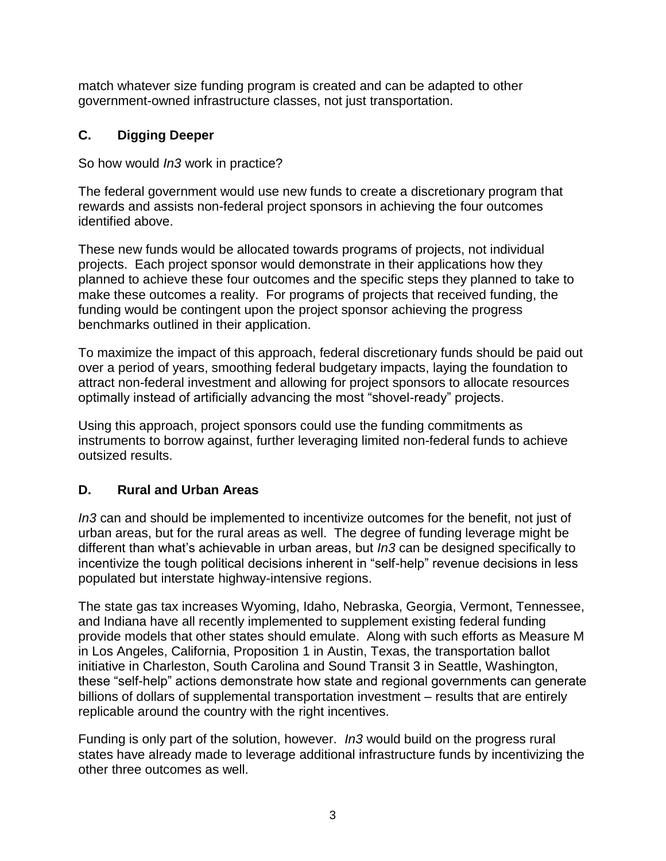match whatever size funding program is created and can be adapted to other government-owned infrastructure classes, not just transportation.

# **C. Digging Deeper**

So how would *In3* work in practice?

The federal government would use new funds to create a discretionary program that rewards and assists non-federal project sponsors in achieving the four outcomes identified above.

These new funds would be allocated towards programs of projects, not individual projects. Each project sponsor would demonstrate in their applications how they planned to achieve these four outcomes and the specific steps they planned to take to make these outcomes a reality. For programs of projects that received funding, the funding would be contingent upon the project sponsor achieving the progress benchmarks outlined in their application.

To maximize the impact of this approach, federal discretionary funds should be paid out over a period of years, smoothing federal budgetary impacts, laying the foundation to attract non-federal investment and allowing for project sponsors to allocate resources optimally instead of artificially advancing the most "shovel-ready" projects.

Using this approach, project sponsors could use the funding commitments as instruments to borrow against, further leveraging limited non-federal funds to achieve outsized results.

# **D. Rural and Urban Areas**

*In3* can and should be implemented to incentivize outcomes for the benefit, not just of urban areas, but for the rural areas as well. The degree of funding leverage might be different than what's achievable in urban areas, but *In3* can be designed specifically to incentivize the tough political decisions inherent in "self-help" revenue decisions in less populated but interstate highway-intensive regions.

The state gas tax increases Wyoming, Idaho, Nebraska, Georgia, Vermont, Tennessee, and Indiana have all recently implemented to supplement existing federal funding provide models that other states should emulate. Along with such efforts as Measure M in Los Angeles, California, Proposition 1 in Austin, Texas, the transportation ballot initiative in Charleston, South Carolina and Sound Transit 3 in Seattle, Washington, these "self-help" actions demonstrate how state and regional governments can generate billions of dollars of supplemental transportation investment – results that are entirely replicable around the country with the right incentives.

Funding is only part of the solution, however. *In3* would build on the progress rural states have already made to leverage additional infrastructure funds by incentivizing the other three outcomes as well.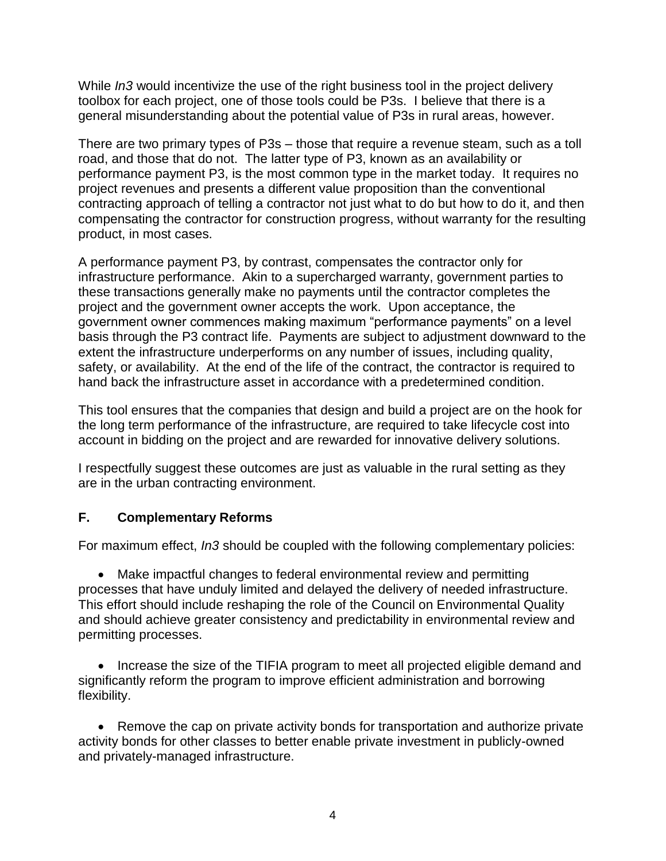While *In3* would incentivize the use of the right business tool in the project delivery toolbox for each project, one of those tools could be P3s. I believe that there is a general misunderstanding about the potential value of P3s in rural areas, however.

There are two primary types of P3s – those that require a revenue steam, such as a toll road, and those that do not. The latter type of P3, known as an availability or performance payment P3, is the most common type in the market today. It requires no project revenues and presents a different value proposition than the conventional contracting approach of telling a contractor not just what to do but how to do it, and then compensating the contractor for construction progress, without warranty for the resulting product, in most cases.

A performance payment P3, by contrast, compensates the contractor only for infrastructure performance. Akin to a supercharged warranty, government parties to these transactions generally make no payments until the contractor completes the project and the government owner accepts the work. Upon acceptance, the government owner commences making maximum "performance payments" on a level basis through the P3 contract life. Payments are subject to adjustment downward to the extent the infrastructure underperforms on any number of issues, including quality, safety, or availability. At the end of the life of the contract, the contractor is required to hand back the infrastructure asset in accordance with a predetermined condition.

This tool ensures that the companies that design and build a project are on the hook for the long term performance of the infrastructure, are required to take lifecycle cost into account in bidding on the project and are rewarded for innovative delivery solutions.

I respectfully suggest these outcomes are just as valuable in the rural setting as they are in the urban contracting environment.

### **F. Complementary Reforms**

For maximum effect, *In3* should be coupled with the following complementary policies:

 Make impactful changes to federal environmental review and permitting processes that have unduly limited and delayed the delivery of needed infrastructure. This effort should include reshaping the role of the Council on Environmental Quality and should achieve greater consistency and predictability in environmental review and permitting processes.

• Increase the size of the TIFIA program to meet all projected eligible demand and significantly reform the program to improve efficient administration and borrowing flexibility.

 Remove the cap on private activity bonds for transportation and authorize private activity bonds for other classes to better enable private investment in publicly-owned and privately-managed infrastructure.